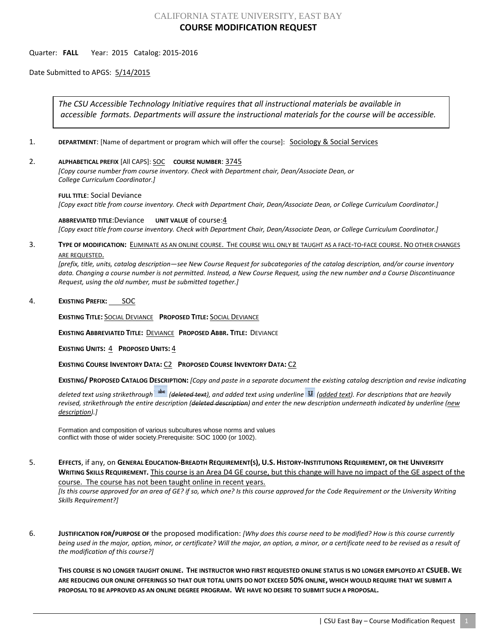## CALIFORNIA STATE UNIVERSITY, EAST BAY **COURSE MODIFICATION REQUEST**

## Quarter: **FALL** Year: 2015 Catalog: 2015-2016

Date Submitted to APGS: 5/14/2015

*The CSU Accessible Technology Initiative requires that all instructional materials be available in accessible formats. Departments will assure the instructional materials for the course will be accessible.*

- 1. **DEPARTMENT:** [Name of department or program which will offer the course]: **Sociology & Social Services**
- 2. **ALPHABETICAL PREFIX** [All CAPS]: SOC **COURSE NUMBER**: 3745

*[Copy course number from course inventory. Check with Department chair, Dean/Associate Dean, or College Curriculum Coordinator.]* 

**FULL TITLE**: Social Deviance *[Copy exact title from course inventory. Check with Department Chair, Dean/Associate Dean, or College Curriculum Coordinator.]*

**ABBREVIATED TITLE**:Deviance **UNIT VALUE** of course:4 *[Copy exact title from course inventory. Check with Department Chair, Dean/Associate Dean, or College Curriculum Coordinator.]*

3. **TYPE OF MODIFICATION:** ELIMINATE AS AN ONLINE COURSE. THE COURSE WILL ONLY BE TAUGHT AS A FACE-TO-FACE COURSE. NO OTHER CHANGES ARE REQUESTED.

*[prefix, title, units, catalog description—see New Course Request for subcategories of the catalog description, and/or course inventory data. Changing a course number is not permitted. Instead, a New Course Request, using the new number and a Course Discontinuance Request, using the old number, must be submitted together.]*

4. **EXISTING PREFIX:** SOC

**EXISTING TITLE:** SOCIAL DEVIANCE **PROPOSED TITLE:** SOCIAL DEVIANCE

**EXISTING ABBREVIATED TITLE:** DEVIANCE **PROPOSED ABBR. TITLE:** DEVIANCE

**EXISTING UNITS:** 4 **PROPOSED UNITS:** 4

**EXISTING COURSE INVENTORY DATA:** C2 **PROPOSED COURSE INVENTORY DATA:** C2

**EXISTING/ PROPOSED CATALOG DESCRIPTION:** *[Copy and paste in a separate document the existing catalog description and revise indicating* 

*deleted text using strikethrough (deleted text), and added text using underline (added text). For descriptions that are heavily revised, strikethrough the entire description (deleted description) and enter the new description underneath indicated by underline (new description).]*

Formation and composition of various subcultures whose norms and values conflict with those of wider society.Prerequisite: SOC 1000 (or 1002).

5. **EFFECTS**, if any, on **GENERAL EDUCATION-BREADTH REQUIREMENT(S), U.S. HISTORY-INSTITUTIONS REQUIREMENT, OR THE UNIVERSITY WRITING SKILLS REQUIREMENT.** This course is an Area D4 GE course, but this change will have no impact of the GE aspect of the course. The course has not been taught online in recent years.

*[Is this course approved for an area of GE? if so, which one? Is this course approved for the Code Requirement or the University Writing Skills Requirement?]*

6. **JUSTIFICATION FOR/PURPOSE OF** the proposed modification: *[Why does this course need to be modified? How is this course currently being used in the major, option, minor, or certificate? Will the major, an option, a minor, or a certificate need to be revised as a result of the modification of this course?]*

**THIS COURSE IS NO LONGER TAUGHT ONLINE. THE INSTRUCTOR WHO FIRST REQUESTED ONLINE STATUS IS NO LONGER EMPLOYED AT CSUEB. WE ARE REDUCING OUR ONLINE OFFERINGS SO THAT OUR TOTAL UNITS DO NOT EXCEED 50% ONLINE, WHICH WOULD REQUIRE THAT WE SUBMIT A PROPOSAL TO BE APPROVED AS AN ONLINE DEGREE PROGRAM. WE HAVE NO DESIRE TO SUBMIT SUCH A PROPOSAL.**